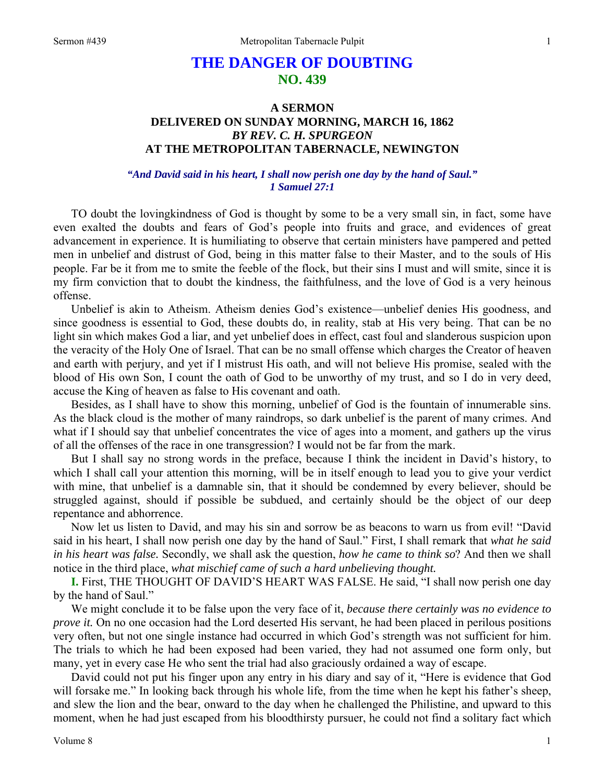## **THE DANGER OF DOUBTING NO. 439**

## **A SERMON DELIVERED ON SUNDAY MORNING, MARCH 16, 1862**  *BY REV. C. H. SPURGEON*  **AT THE METROPOLITAN TABERNACLE, NEWINGTON**

## *"And David said in his heart, I shall now perish one day by the hand of Saul." 1 Samuel 27:1*

TO doubt the lovingkindness of God is thought by some to be a very small sin, in fact, some have even exalted the doubts and fears of God's people into fruits and grace, and evidences of great advancement in experience. It is humiliating to observe that certain ministers have pampered and petted men in unbelief and distrust of God, being in this matter false to their Master, and to the souls of His people. Far be it from me to smite the feeble of the flock, but their sins I must and will smite, since it is my firm conviction that to doubt the kindness, the faithfulness, and the love of God is a very heinous offense.

Unbelief is akin to Atheism. Atheism denies God's existence—unbelief denies His goodness, and since goodness is essential to God, these doubts do, in reality, stab at His very being. That can be no light sin which makes God a liar, and yet unbelief does in effect, cast foul and slanderous suspicion upon the veracity of the Holy One of Israel. That can be no small offense which charges the Creator of heaven and earth with perjury, and yet if I mistrust His oath, and will not believe His promise, sealed with the blood of His own Son, I count the oath of God to be unworthy of my trust, and so I do in very deed, accuse the King of heaven as false to His covenant and oath.

Besides, as I shall have to show this morning, unbelief of God is the fountain of innumerable sins. As the black cloud is the mother of many raindrops, so dark unbelief is the parent of many crimes. And what if I should say that unbelief concentrates the vice of ages into a moment, and gathers up the virus of all the offenses of the race in one transgression? I would not be far from the mark.

But I shall say no strong words in the preface, because I think the incident in David's history, to which I shall call your attention this morning, will be in itself enough to lead you to give your verdict with mine, that unbelief is a damnable sin, that it should be condemned by every believer, should be struggled against, should if possible be subdued, and certainly should be the object of our deep repentance and abhorrence.

Now let us listen to David, and may his sin and sorrow be as beacons to warn us from evil! "David said in his heart, I shall now perish one day by the hand of Saul." First, I shall remark that *what he said in his heart was false.* Secondly, we shall ask the question, *how he came to think so*? And then we shall notice in the third place, *what mischief came of such a hard unbelieving thought.* 

**I.** First, THE THOUGHT OF DAVID'S HEART WAS FALSE. He said, "I shall now perish one day by the hand of Saul."

We might conclude it to be false upon the very face of it, *because there certainly was no evidence to prove it.* On no one occasion had the Lord deserted His servant, he had been placed in perilous positions very often, but not one single instance had occurred in which God's strength was not sufficient for him. The trials to which he had been exposed had been varied, they had not assumed one form only, but many, yet in every case He who sent the trial had also graciously ordained a way of escape.

David could not put his finger upon any entry in his diary and say of it, "Here is evidence that God will forsake me." In looking back through his whole life, from the time when he kept his father's sheep, and slew the lion and the bear, onward to the day when he challenged the Philistine, and upward to this moment, when he had just escaped from his bloodthirsty pursuer, he could not find a solitary fact which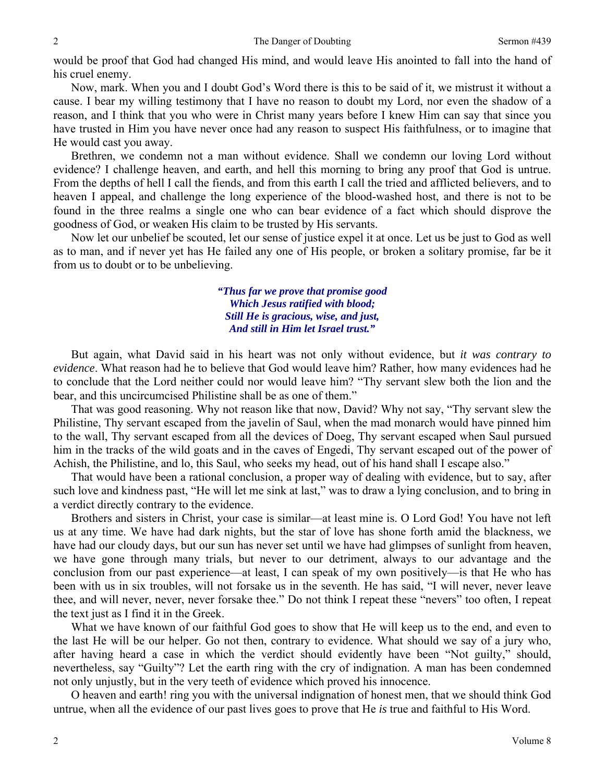would be proof that God had changed His mind, and would leave His anointed to fall into the hand of his cruel enemy.

Now, mark. When you and I doubt God's Word there is this to be said of it, we mistrust it without a cause. I bear my willing testimony that I have no reason to doubt my Lord, nor even the shadow of a reason, and I think that you who were in Christ many years before I knew Him can say that since you have trusted in Him you have never once had any reason to suspect His faithfulness, or to imagine that He would cast you away.

Brethren, we condemn not a man without evidence. Shall we condemn our loving Lord without evidence? I challenge heaven, and earth, and hell this morning to bring any proof that God is untrue. From the depths of hell I call the fiends, and from this earth I call the tried and afflicted believers, and to heaven I appeal, and challenge the long experience of the blood-washed host, and there is not to be found in the three realms a single one who can bear evidence of a fact which should disprove the goodness of God, or weaken His claim to be trusted by His servants.

Now let our unbelief be scouted, let our sense of justice expel it at once. Let us be just to God as well as to man, and if never yet has He failed any one of His people, or broken a solitary promise, far be it from us to doubt or to be unbelieving.

> *"Thus far we prove that promise good Which Jesus ratified with blood; Still He is gracious, wise, and just, And still in Him let Israel trust."*

But again, what David said in his heart was not only without evidence, but *it was contrary to evidence*. What reason had he to believe that God would leave him? Rather, how many evidences had he to conclude that the Lord neither could nor would leave him? "Thy servant slew both the lion and the bear, and this uncircumcised Philistine shall be as one of them."

That was good reasoning. Why not reason like that now, David? Why not say, "Thy servant slew the Philistine, Thy servant escaped from the javelin of Saul, when the mad monarch would have pinned him to the wall, Thy servant escaped from all the devices of Doeg, Thy servant escaped when Saul pursued him in the tracks of the wild goats and in the caves of Engedi, Thy servant escaped out of the power of Achish, the Philistine, and lo, this Saul, who seeks my head, out of his hand shall I escape also."

That would have been a rational conclusion, a proper way of dealing with evidence, but to say, after such love and kindness past, "He will let me sink at last," was to draw a lying conclusion, and to bring in a verdict directly contrary to the evidence.

Brothers and sisters in Christ, your case is similar—at least mine is. O Lord God! You have not left us at any time. We have had dark nights, but the star of love has shone forth amid the blackness, we have had our cloudy days, but our sun has never set until we have had glimpses of sunlight from heaven, we have gone through many trials, but never to our detriment, always to our advantage and the conclusion from our past experience—at least, I can speak of my own positively—is that He who has been with us in six troubles, will not forsake us in the seventh. He has said, "I will never, never leave thee, and will never, never, never forsake thee." Do not think I repeat these "nevers" too often, I repeat the text just as I find it in the Greek.

What we have known of our faithful God goes to show that He will keep us to the end, and even to the last He will be our helper. Go not then, contrary to evidence. What should we say of a jury who, after having heard a case in which the verdict should evidently have been "Not guilty," should, nevertheless, say "Guilty"? Let the earth ring with the cry of indignation. A man has been condemned not only unjustly, but in the very teeth of evidence which proved his innocence.

O heaven and earth! ring you with the universal indignation of honest men, that we should think God untrue, when all the evidence of our past lives goes to prove that He *is* true and faithful to His Word.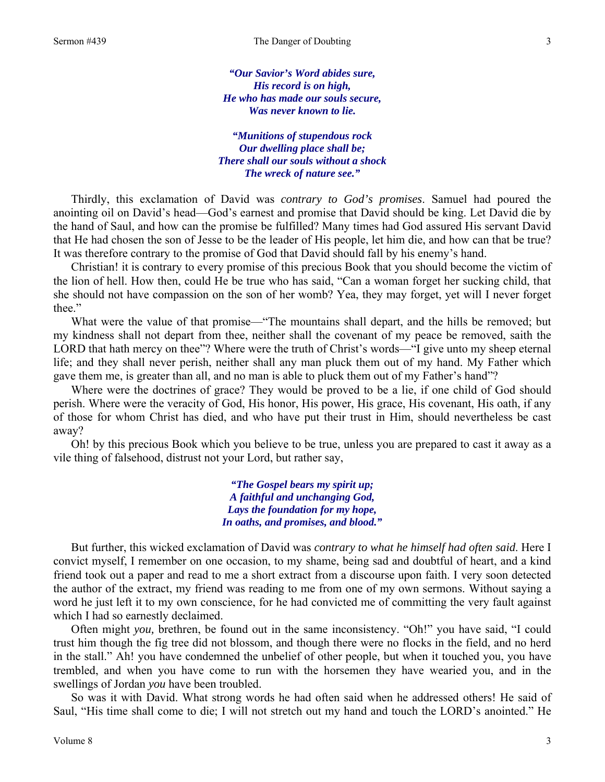*"Our Savior's Word abides sure, His record is on high, He who has made our souls secure, Was never known to lie.* 

*"Munitions of stupendous rock Our dwelling place shall be; There shall our souls without a shock The wreck of nature see."* 

Thirdly, this exclamation of David was *contrary to God's promises*. Samuel had poured the anointing oil on David's head—God's earnest and promise that David should be king. Let David die by the hand of Saul, and how can the promise be fulfilled? Many times had God assured His servant David that He had chosen the son of Jesse to be the leader of His people, let him die, and how can that be true? It was therefore contrary to the promise of God that David should fall by his enemy's hand.

Christian! it is contrary to every promise of this precious Book that you should become the victim of the lion of hell. How then, could He be true who has said, "Can a woman forget her sucking child, that she should not have compassion on the son of her womb? Yea, they may forget, yet will I never forget thee."

What were the value of that promise—"The mountains shall depart, and the hills be removed; but my kindness shall not depart from thee, neither shall the covenant of my peace be removed, saith the LORD that hath mercy on thee"? Where were the truth of Christ's words—"I give unto my sheep eternal life; and they shall never perish, neither shall any man pluck them out of my hand. My Father which gave them me, is greater than all, and no man is able to pluck them out of my Father's hand"?

Where were the doctrines of grace? They would be proved to be a lie, if one child of God should perish. Where were the veracity of God, His honor, His power, His grace, His covenant, His oath, if any of those for whom Christ has died, and who have put their trust in Him, should nevertheless be cast away?

Oh! by this precious Book which you believe to be true, unless you are prepared to cast it away as a vile thing of falsehood, distrust not your Lord, but rather say,

> *"The Gospel bears my spirit up; A faithful and unchanging God, Lays the foundation for my hope, In oaths, and promises, and blood."*

But further, this wicked exclamation of David was *contrary to what he himself had often said*. Here I convict myself, I remember on one occasion, to my shame, being sad and doubtful of heart, and a kind friend took out a paper and read to me a short extract from a discourse upon faith. I very soon detected the author of the extract, my friend was reading to me from one of my own sermons. Without saying a word he just left it to my own conscience, for he had convicted me of committing the very fault against which I had so earnestly declaimed.

Often might *you,* brethren, be found out in the same inconsistency. "Oh!" you have said, "I could trust him though the fig tree did not blossom, and though there were no flocks in the field, and no herd in the stall." Ah! you have condemned the unbelief of other people, but when it touched you, you have trembled, and when you have come to run with the horsemen they have wearied you, and in the swellings of Jordan *you* have been troubled.

So was it with David. What strong words he had often said when he addressed others! He said of Saul, "His time shall come to die; I will not stretch out my hand and touch the LORD's anointed." He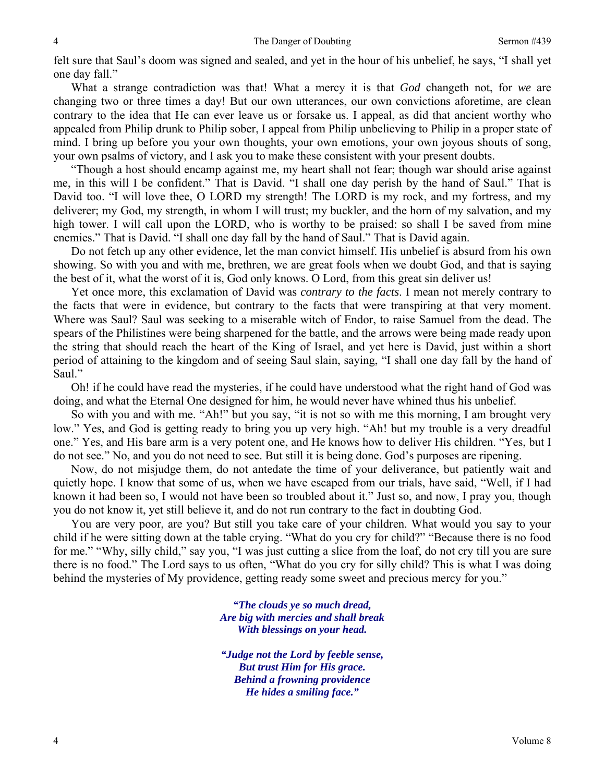felt sure that Saul's doom was signed and sealed, and yet in the hour of his unbelief, he says, "I shall yet one day fall."

What a strange contradiction was that! What a mercy it is that *God* changeth not, for *we* are changing two or three times a day! But our own utterances, our own convictions aforetime, are clean contrary to the idea that He can ever leave us or forsake us. I appeal, as did that ancient worthy who appealed from Philip drunk to Philip sober, I appeal from Philip unbelieving to Philip in a proper state of mind. I bring up before you your own thoughts, your own emotions, your own joyous shouts of song, your own psalms of victory, and I ask you to make these consistent with your present doubts.

"Though a host should encamp against me, my heart shall not fear; though war should arise against me, in this will I be confident." That is David. "I shall one day perish by the hand of Saul." That is David too. "I will love thee, O LORD my strength! The LORD is my rock, and my fortress, and my deliverer; my God, my strength, in whom I will trust; my buckler, and the horn of my salvation, and my high tower. I will call upon the LORD, who is worthy to be praised: so shall I be saved from mine enemies." That is David. "I shall one day fall by the hand of Saul." That is David again.

Do not fetch up any other evidence, let the man convict himself. His unbelief is absurd from his own showing. So with you and with me, brethren, we are great fools when we doubt God, and that is saying the best of it, what the worst of it is, God only knows. O Lord, from this great sin deliver us!

Yet once more, this exclamation of David was *contrary to the facts*. I mean not merely contrary to the facts that were in evidence, but contrary to the facts that were transpiring at that very moment. Where was Saul? Saul was seeking to a miserable witch of Endor, to raise Samuel from the dead. The spears of the Philistines were being sharpened for the battle, and the arrows were being made ready upon the string that should reach the heart of the King of Israel, and yet here is David, just within a short period of attaining to the kingdom and of seeing Saul slain, saying, "I shall one day fall by the hand of Saul."

Oh! if he could have read the mysteries, if he could have understood what the right hand of God was doing, and what the Eternal One designed for him, he would never have whined thus his unbelief.

So with you and with me. "Ah!" but you say, "it is not so with me this morning, I am brought very low." Yes, and God is getting ready to bring you up very high. "Ah! but my trouble is a very dreadful one." Yes, and His bare arm is a very potent one, and He knows how to deliver His children. "Yes, but I do not see." No, and you do not need to see. But still it is being done. God's purposes are ripening.

Now, do not misjudge them, do not antedate the time of your deliverance, but patiently wait and quietly hope. I know that some of us, when we have escaped from our trials, have said, "Well, if I had known it had been so, I would not have been so troubled about it." Just so, and now, I pray you, though you do not know it, yet still believe it, and do not run contrary to the fact in doubting God.

You are very poor, are you? But still you take care of your children. What would you say to your child if he were sitting down at the table crying. "What do you cry for child?" "Because there is no food for me." "Why, silly child," say you, "I was just cutting a slice from the loaf, do not cry till you are sure there is no food." The Lord says to us often, "What do you cry for silly child? This is what I was doing behind the mysteries of My providence, getting ready some sweet and precious mercy for you."

> *"The clouds ye so much dread, Are big with mercies and shall break With blessings on your head.*

> *"Judge not the Lord by feeble sense, But trust Him for His grace. Behind a frowning providence He hides a smiling face."*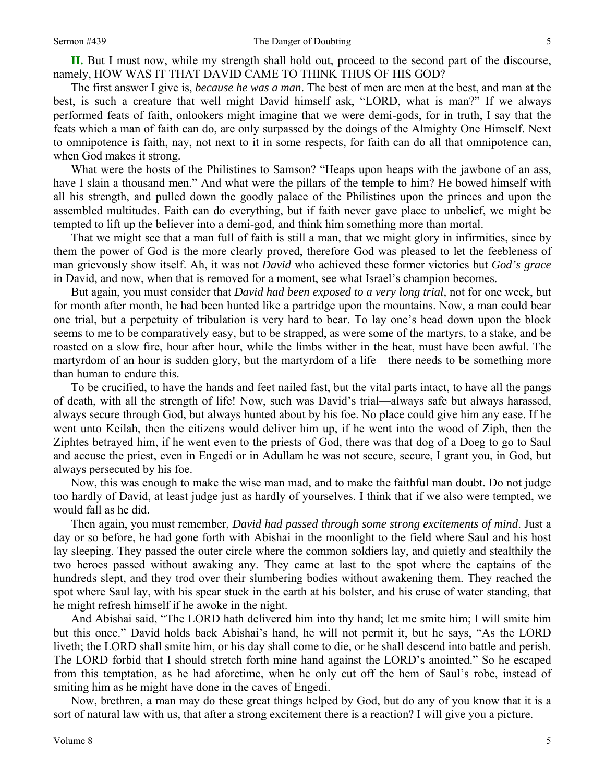**II.** But I must now, while my strength shall hold out, proceed to the second part of the discourse, namely, HOW WAS IT THAT DAVID CAME TO THINK THUS OF HIS GOD?

The first answer I give is, *because he was a man*. The best of men are men at the best, and man at the best, is such a creature that well might David himself ask, "LORD, what is man?" If we always performed feats of faith, onlookers might imagine that we were demi-gods, for in truth, I say that the feats which a man of faith can do, are only surpassed by the doings of the Almighty One Himself. Next to omnipotence is faith, nay, not next to it in some respects, for faith can do all that omnipotence can, when God makes it strong.

What were the hosts of the Philistines to Samson? "Heaps upon heaps with the jawbone of an ass, have I slain a thousand men." And what were the pillars of the temple to him? He bowed himself with all his strength, and pulled down the goodly palace of the Philistines upon the princes and upon the assembled multitudes. Faith can do everything, but if faith never gave place to unbelief, we might be tempted to lift up the believer into a demi-god, and think him something more than mortal.

That we might see that a man full of faith is still a man, that we might glory in infirmities, since by them the power of God is the more clearly proved, therefore God was pleased to let the feebleness of man grievously show itself. Ah, it was not *David* who achieved these former victories but *God's grace*  in David, and now, when that is removed for a moment, see what Israel's champion becomes.

But again, you must consider that *David had been exposed to a very long trial,* not for one week, but for month after month, he had been hunted like a partridge upon the mountains. Now, a man could bear one trial, but a perpetuity of tribulation is very hard to bear. To lay one's head down upon the block seems to me to be comparatively easy, but to be strapped, as were some of the martyrs, to a stake, and be roasted on a slow fire, hour after hour, while the limbs wither in the heat, must have been awful. The martyrdom of an hour is sudden glory, but the martyrdom of a life—there needs to be something more than human to endure this.

To be crucified, to have the hands and feet nailed fast, but the vital parts intact, to have all the pangs of death, with all the strength of life! Now, such was David's trial—always safe but always harassed, always secure through God, but always hunted about by his foe. No place could give him any ease. If he went unto Keilah, then the citizens would deliver him up, if he went into the wood of Ziph, then the Ziphtes betrayed him, if he went even to the priests of God, there was that dog of a Doeg to go to Saul and accuse the priest, even in Engedi or in Adullam he was not secure, secure, I grant you, in God, but always persecuted by his foe.

Now, this was enough to make the wise man mad, and to make the faithful man doubt. Do not judge too hardly of David, at least judge just as hardly of yourselves. I think that if we also were tempted, we would fall as he did.

Then again, you must remember, *David had passed through some strong excitements of mind*. Just a day or so before, he had gone forth with Abishai in the moonlight to the field where Saul and his host lay sleeping. They passed the outer circle where the common soldiers lay, and quietly and stealthily the two heroes passed without awaking any. They came at last to the spot where the captains of the hundreds slept, and they trod over their slumbering bodies without awakening them. They reached the spot where Saul lay, with his spear stuck in the earth at his bolster, and his cruse of water standing, that he might refresh himself if he awoke in the night.

And Abishai said, "The LORD hath delivered him into thy hand; let me smite him; I will smite him but this once." David holds back Abishai's hand, he will not permit it, but he says, "As the LORD liveth; the LORD shall smite him, or his day shall come to die, or he shall descend into battle and perish. The LORD forbid that I should stretch forth mine hand against the LORD's anointed." So he escaped from this temptation, as he had aforetime, when he only cut off the hem of Saul's robe, instead of smiting him as he might have done in the caves of Engedi.

Now, brethren, a man may do these great things helped by God, but do any of you know that it is a sort of natural law with us, that after a strong excitement there is a reaction? I will give you a picture.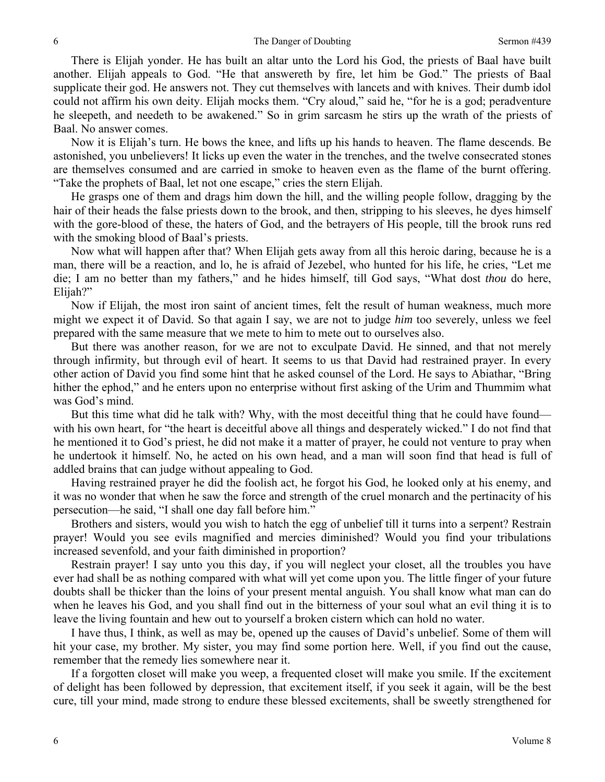There is Elijah yonder. He has built an altar unto the Lord his God, the priests of Baal have built another. Elijah appeals to God. "He that answereth by fire, let him be God." The priests of Baal supplicate their god. He answers not. They cut themselves with lancets and with knives. Their dumb idol could not affirm his own deity. Elijah mocks them. "Cry aloud," said he, "for he is a god; peradventure he sleepeth, and needeth to be awakened." So in grim sarcasm he stirs up the wrath of the priests of Baal. No answer comes.

Now it is Elijah's turn. He bows the knee, and lifts up his hands to heaven. The flame descends. Be astonished, you unbelievers! It licks up even the water in the trenches, and the twelve consecrated stones are themselves consumed and are carried in smoke to heaven even as the flame of the burnt offering. "Take the prophets of Baal, let not one escape," cries the stern Elijah.

He grasps one of them and drags him down the hill, and the willing people follow, dragging by the hair of their heads the false priests down to the brook, and then, stripping to his sleeves, he dyes himself with the gore-blood of these, the haters of God, and the betrayers of His people, till the brook runs red with the smoking blood of Baal's priests.

Now what will happen after that? When Elijah gets away from all this heroic daring, because he is a man, there will be a reaction, and lo, he is afraid of Jezebel, who hunted for his life, he cries, "Let me die; I am no better than my fathers," and he hides himself, till God says, "What dost *thou* do here, Elijah?"

Now if Elijah, the most iron saint of ancient times, felt the result of human weakness, much more might we expect it of David. So that again I say, we are not to judge *him* too severely, unless we feel prepared with the same measure that we mete to him to mete out to ourselves also.

But there was another reason, for we are not to exculpate David. He sinned, and that not merely through infirmity, but through evil of heart. It seems to us that David had restrained prayer. In every other action of David you find some hint that he asked counsel of the Lord. He says to Abiathar, "Bring hither the ephod," and he enters upon no enterprise without first asking of the Urim and Thummim what was God's mind.

But this time what did he talk with? Why, with the most deceitful thing that he could have found with his own heart, for "the heart is deceitful above all things and desperately wicked." I do not find that he mentioned it to God's priest, he did not make it a matter of prayer, he could not venture to pray when he undertook it himself. No, he acted on his own head, and a man will soon find that head is full of addled brains that can judge without appealing to God.

Having restrained prayer he did the foolish act, he forgot his God, he looked only at his enemy, and it was no wonder that when he saw the force and strength of the cruel monarch and the pertinacity of his persecution—he said, "I shall one day fall before him."

Brothers and sisters, would you wish to hatch the egg of unbelief till it turns into a serpent? Restrain prayer! Would you see evils magnified and mercies diminished? Would you find your tribulations increased sevenfold, and your faith diminished in proportion?

Restrain prayer! I say unto you this day, if you will neglect your closet, all the troubles you have ever had shall be as nothing compared with what will yet come upon you. The little finger of your future doubts shall be thicker than the loins of your present mental anguish. You shall know what man can do when he leaves his God, and you shall find out in the bitterness of your soul what an evil thing it is to leave the living fountain and hew out to yourself a broken cistern which can hold no water.

I have thus, I think, as well as may be, opened up the causes of David's unbelief. Some of them will hit your case, my brother. My sister, you may find some portion here. Well, if you find out the cause, remember that the remedy lies somewhere near it.

If a forgotten closet will make you weep, a frequented closet will make you smile. If the excitement of delight has been followed by depression, that excitement itself, if you seek it again, will be the best cure, till your mind, made strong to endure these blessed excitements, shall be sweetly strengthened for

6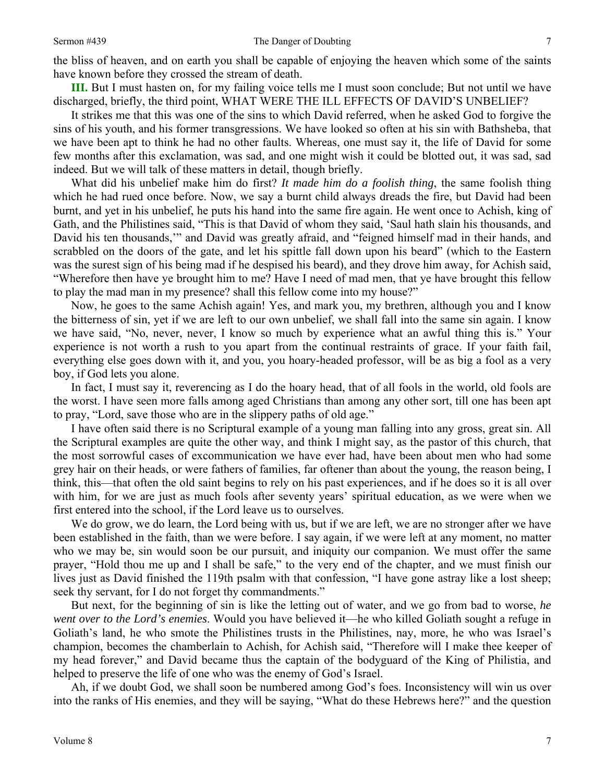**III.** But I must hasten on, for my failing voice tells me I must soon conclude; But not until we have discharged, briefly, the third point, WHAT WERE THE ILL EFFECTS OF DAVID'S UNBELIEF?

It strikes me that this was one of the sins to which David referred, when he asked God to forgive the sins of his youth, and his former transgressions. We have looked so often at his sin with Bathsheba, that we have been apt to think he had no other faults. Whereas, one must say it, the life of David for some few months after this exclamation, was sad, and one might wish it could be blotted out, it was sad, sad indeed. But we will talk of these matters in detail, though briefly.

What did his unbelief make him do first? *It made him do a foolish thing*, the same foolish thing which he had rued once before. Now, we say a burnt child always dreads the fire, but David had been burnt, and yet in his unbelief, he puts his hand into the same fire again. He went once to Achish, king of Gath, and the Philistines said, "This is that David of whom they said, 'Saul hath slain his thousands, and David his ten thousands,'" and David was greatly afraid, and "feigned himself mad in their hands, and scrabbled on the doors of the gate, and let his spittle fall down upon his beard" (which to the Eastern was the surest sign of his being mad if he despised his beard), and they drove him away, for Achish said, "Wherefore then have ye brought him to me? Have I need of mad men, that ye have brought this fellow to play the mad man in my presence? shall this fellow come into my house?"

Now, he goes to the same Achish again! Yes, and mark you, my brethren, although you and I know the bitterness of sin, yet if we are left to our own unbelief, we shall fall into the same sin again. I know we have said, "No, never, never, I know so much by experience what an awful thing this is." Your experience is not worth a rush to you apart from the continual restraints of grace. If your faith fail, everything else goes down with it, and you, you hoary-headed professor, will be as big a fool as a very boy, if God lets you alone.

In fact, I must say it, reverencing as I do the hoary head, that of all fools in the world, old fools are the worst. I have seen more falls among aged Christians than among any other sort, till one has been apt to pray, "Lord, save those who are in the slippery paths of old age."

I have often said there is no Scriptural example of a young man falling into any gross, great sin. All the Scriptural examples are quite the other way, and think I might say, as the pastor of this church, that the most sorrowful cases of excommunication we have ever had, have been about men who had some grey hair on their heads, or were fathers of families, far oftener than about the young, the reason being, I think, this—that often the old saint begins to rely on his past experiences, and if he does so it is all over with him, for we are just as much fools after seventy years' spiritual education, as we were when we first entered into the school, if the Lord leave us to ourselves.

We do grow, we do learn, the Lord being with us, but if we are left, we are no stronger after we have been established in the faith, than we were before. I say again, if we were left at any moment, no matter who we may be, sin would soon be our pursuit, and iniquity our companion. We must offer the same prayer, "Hold thou me up and I shall be safe," to the very end of the chapter, and we must finish our lives just as David finished the 119th psalm with that confession, "I have gone astray like a lost sheep; seek thy servant, for I do not forget thy commandments."

But next, for the beginning of sin is like the letting out of water, and we go from bad to worse, *he went over to the Lord's enemies*. Would you have believed it—he who killed Goliath sought a refuge in Goliath's land, he who smote the Philistines trusts in the Philistines, nay, more, he who was Israel's champion, becomes the chamberlain to Achish, for Achish said, "Therefore will I make thee keeper of my head forever," and David became thus the captain of the bodyguard of the King of Philistia, and helped to preserve the life of one who was the enemy of God's Israel.

Ah, if we doubt God, we shall soon be numbered among God's foes. Inconsistency will win us over into the ranks of His enemies, and they will be saying, "What do these Hebrews here?" and the question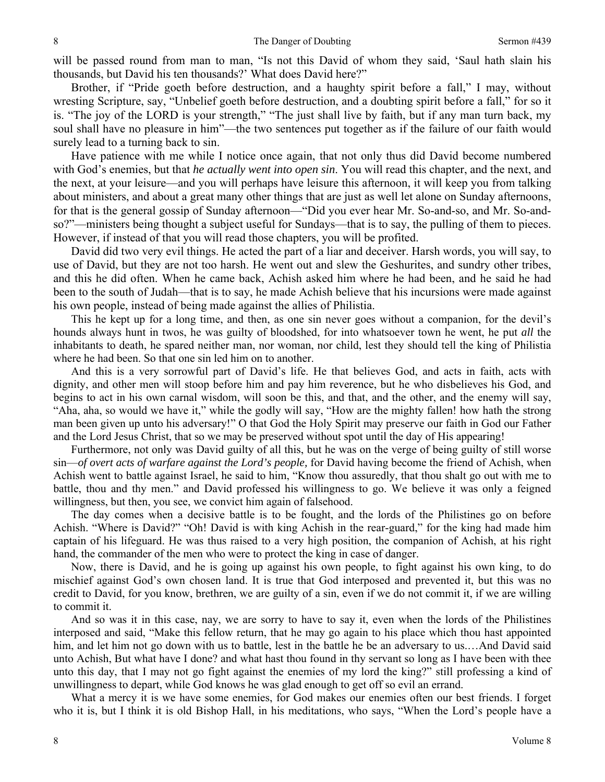will be passed round from man to man, "Is not this David of whom they said, 'Saul hath slain his thousands, but David his ten thousands?' What does David here?"

Brother, if "Pride goeth before destruction, and a haughty spirit before a fall," I may, without wresting Scripture, say, "Unbelief goeth before destruction, and a doubting spirit before a fall," for so it is. "The joy of the LORD is your strength," "The just shall live by faith, but if any man turn back, my soul shall have no pleasure in him"—the two sentences put together as if the failure of our faith would surely lead to a turning back to sin.

Have patience with me while I notice once again, that not only thus did David become numbered with God's enemies, but that *he actually went into open sin*. You will read this chapter, and the next, and the next, at your leisure—and you will perhaps have leisure this afternoon, it will keep you from talking about ministers, and about a great many other things that are just as well let alone on Sunday afternoons, for that is the general gossip of Sunday afternoon—"Did you ever hear Mr. So-and-so, and Mr. So-andso?"—ministers being thought a subject useful for Sundays—that is to say, the pulling of them to pieces. However, if instead of that you will read those chapters, you will be profited.

David did two very evil things. He acted the part of a liar and deceiver. Harsh words, you will say, to use of David, but they are not too harsh. He went out and slew the Geshurites, and sundry other tribes, and this he did often. When he came back, Achish asked him where he had been, and he said he had been to the south of Judah—that is to say, he made Achish believe that his incursions were made against his own people, instead of being made against the allies of Philistia.

This he kept up for a long time, and then, as one sin never goes without a companion, for the devil's hounds always hunt in twos, he was guilty of bloodshed, for into whatsoever town he went, he put *all* the inhabitants to death, he spared neither man, nor woman, nor child, lest they should tell the king of Philistia where he had been. So that one sin led him on to another.

And this is a very sorrowful part of David's life. He that believes God, and acts in faith, acts with dignity, and other men will stoop before him and pay him reverence, but he who disbelieves his God, and begins to act in his own carnal wisdom, will soon be this, and that, and the other, and the enemy will say, "Aha, aha, so would we have it," while the godly will say, "How are the mighty fallen! how hath the strong man been given up unto his adversary!" O that God the Holy Spirit may preserve our faith in God our Father and the Lord Jesus Christ, that so we may be preserved without spot until the day of His appearing!

Furthermore, not only was David guilty of all this, but he was on the verge of being guilty of still worse sin—*of overt acts of warfare against the Lord's people,* for David having become the friend of Achish, when Achish went to battle against Israel, he said to him, "Know thou assuredly, that thou shalt go out with me to battle, thou and thy men." and David professed his willingness to go. We believe it was only a feigned willingness, but then, you see, we convict him again of falsehood.

The day comes when a decisive battle is to be fought, and the lords of the Philistines go on before Achish. "Where is David?" "Oh! David is with king Achish in the rear-guard," for the king had made him captain of his lifeguard. He was thus raised to a very high position, the companion of Achish, at his right hand, the commander of the men who were to protect the king in case of danger.

Now, there is David, and he is going up against his own people, to fight against his own king, to do mischief against God's own chosen land. It is true that God interposed and prevented it, but this was no credit to David, for you know, brethren, we are guilty of a sin, even if we do not commit it, if we are willing to commit it.

And so was it in this case, nay, we are sorry to have to say it, even when the lords of the Philistines interposed and said, "Make this fellow return, that he may go again to his place which thou hast appointed him, and let him not go down with us to battle, lest in the battle he be an adversary to us....And David said unto Achish, But what have I done? and what hast thou found in thy servant so long as I have been with thee unto this day, that I may not go fight against the enemies of my lord the king?" still professing a kind of unwillingness to depart, while God knows he was glad enough to get off so evil an errand.

What a mercy it is we have some enemies, for God makes our enemies often our best friends. I forget who it is, but I think it is old Bishop Hall, in his meditations, who says, "When the Lord's people have a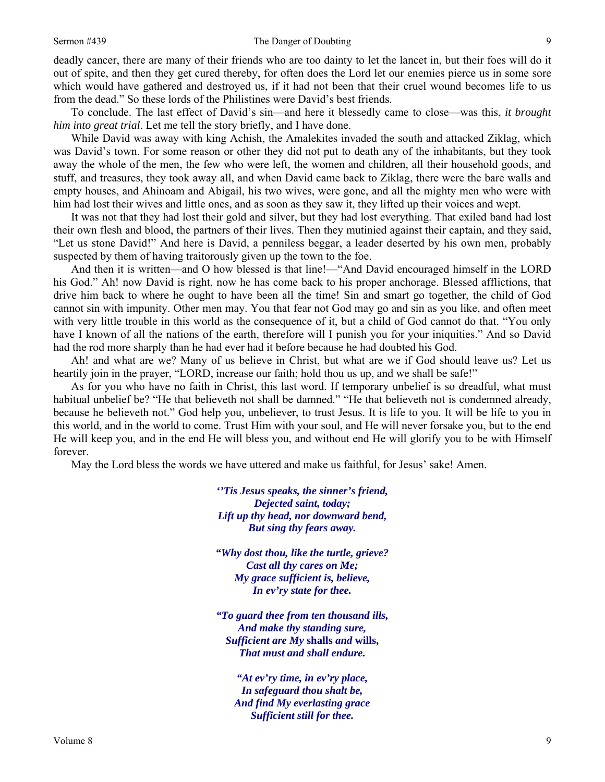## Sermon #439 The Danger of Doubting

deadly cancer, there are many of their friends who are too dainty to let the lancet in, but their foes will do it out of spite, and then they get cured thereby, for often does the Lord let our enemies pierce us in some sore which would have gathered and destroyed us, if it had not been that their cruel wound becomes life to us from the dead." So these lords of the Philistines were David's best friends.

To conclude. The last effect of David's sin—and here it blessedly came to close—was this, *it brought him into great trial*. Let me tell the story briefly, and I have done.

While David was away with king Achish, the Amalekites invaded the south and attacked Ziklag, which was David's town. For some reason or other they did not put to death any of the inhabitants, but they took away the whole of the men, the few who were left, the women and children, all their household goods, and stuff, and treasures, they took away all, and when David came back to Ziklag, there were the bare walls and empty houses, and Ahinoam and Abigail, his two wives, were gone, and all the mighty men who were with him had lost their wives and little ones, and as soon as they saw it, they lifted up their voices and wept.

It was not that they had lost their gold and silver, but they had lost everything. That exiled band had lost their own flesh and blood, the partners of their lives. Then they mutinied against their captain, and they said, "Let us stone David!" And here is David, a penniless beggar, a leader deserted by his own men, probably suspected by them of having traitorously given up the town to the foe.

And then it is written—and O how blessed is that line!—"And David encouraged himself in the LORD his God." Ah! now David is right, now he has come back to his proper anchorage. Blessed afflictions, that drive him back to where he ought to have been all the time! Sin and smart go together, the child of God cannot sin with impunity. Other men may. You that fear not God may go and sin as you like, and often meet with very little trouble in this world as the consequence of it, but a child of God cannot do that. "You only have I known of all the nations of the earth, therefore will I punish you for your iniquities." And so David had the rod more sharply than he had ever had it before because he had doubted his God.

Ah! and what are we? Many of us believe in Christ, but what are we if God should leave us? Let us heartily join in the prayer, "LORD, increase our faith; hold thou us up, and we shall be safe!"

As for you who have no faith in Christ, this last word. If temporary unbelief is so dreadful, what must habitual unbelief be? "He that believeth not shall be damned." "He that believeth not is condemned already, because he believeth not." God help you, unbeliever, to trust Jesus. It is life to you. It will be life to you in this world, and in the world to come. Trust Him with your soul, and He will never forsake you, but to the end He will keep you, and in the end He will bless you, and without end He will glorify you to be with Himself forever.

May the Lord bless the words we have uttered and make us faithful, for Jesus' sake! Amen.

*''Tis Jesus speaks, the sinner's friend, Dejected saint, today; Lift up thy head, nor downward bend, But sing thy fears away.* 

*"Why dost thou, like the turtle, grieve? Cast all thy cares on Me; My grace sufficient is, believe, In ev'ry state for thee.* 

*"To guard thee from ten thousand ills, And make thy standing sure, Sufficient are My* **shalls** *and* **wills,** *That must and shall endure.* 

*"At ev'ry time, in ev'ry place, In safeguard thou shalt be, And find My everlasting grace Sufficient still for thee.*